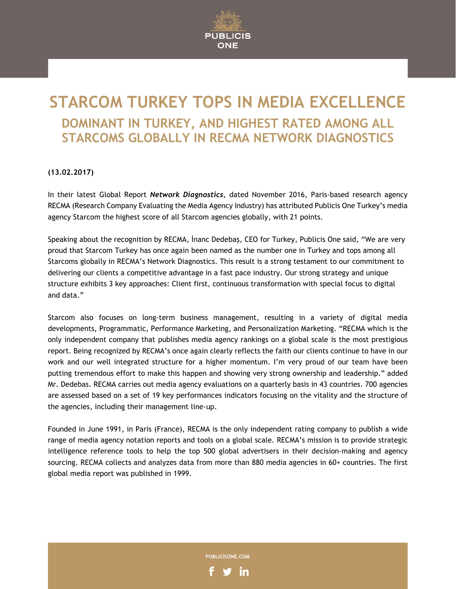

# **STARCOM TURKEY TOPS IN MEDIA EXCELLENCE DOMINANT IN TURKEY, AND HIGHEST RATED AMONG ALL STARCOMS GLOBALLY IN RECMA NETWORK DIAGNOSTICS**

## **(13.02.2017)**

In their latest Global Report *Network Diagnostics*, dated November 2016, Paris-based research agency RECMA (Research Company Evaluating the Media Agency Industry) has attributed Publicis One Turkey's media agency Starcom the highest score of all Starcom agencies globally, with 21 points.

Speaking about the recognition by RECMA, İnanc Dedebaş, CEO for Turkey, Publicis One said, "We are very proud that Starcom Turkey has once again been named as the number one in Turkey and tops among all Starcoms globally in RECMA's Network Diagnostics. This result is a strong testament to our commitment to delivering our clients a competitive advantage in a fast pace industry. Our strong strategy and unique structure exhibits 3 key approaches: Client first, continuous transformation with special focus to digital and data."

Starcom also focuses on long-term business management, resulting in a variety of digital media developments, Programmatic, Performance Marketing, and Personalization Marketing. "RECMA which is the only independent company that publishes media agency rankings on a global scale is the most prestigious report. Being recognized by RECMA's once again clearly reflects the faith our clients continue to have in our work and our well integrated structure for a higher momentum. I'm very proud of our team have been putting tremendous effort to make this happen and showing very strong ownership and leadership." added Mr. Dedebas. RECMA carries out media agency evaluations on a quarterly basis in 43 countries. 700 agencies are assessed based on a set of 19 key performances indicators focusing on the vitality and the structure of the agencies, including their management line-up.

Founded in June 1991, in Paris (France), RECMA is the only independent rating company to publish a wide range of media agency notation reports and tools on a global scale. RECMA's mission is to provide strategic intelligence reference tools to help the top 500 global advertisers in their decision-making and agency sourcing. RECMA collects and analyzes data from more than 880 media agencies in 60+ countries. The first global media report was published in 1999.

**PUBLICISONE.COM** 

in